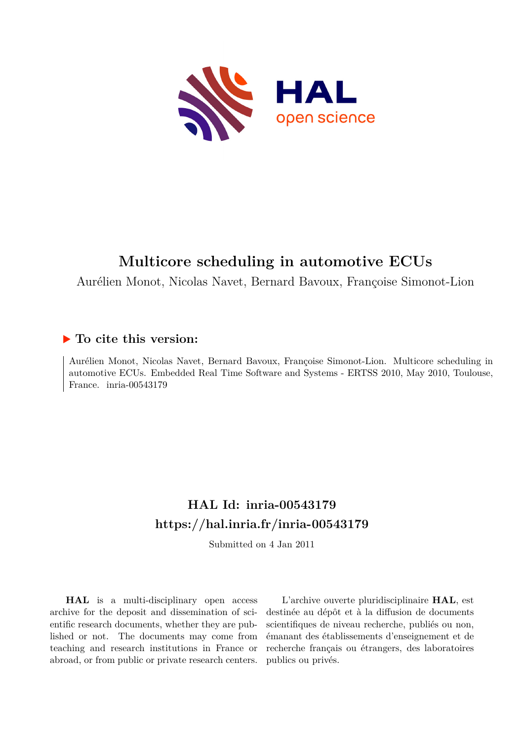

# **Multicore scheduling in automotive ECUs**

Aurélien Monot, Nicolas Navet, Bernard Bavoux, Françoise Simonot-Lion

## **To cite this version:**

Aurélien Monot, Nicolas Navet, Bernard Bavoux, Françoise Simonot-Lion. Multicore scheduling in automotive ECUs. Embedded Real Time Software and Systems - ERTSS 2010, May 2010, Toulouse, France. inria-00543179

# **HAL Id: inria-00543179 <https://hal.inria.fr/inria-00543179>**

Submitted on 4 Jan 2011

**HAL** is a multi-disciplinary open access archive for the deposit and dissemination of scientific research documents, whether they are published or not. The documents may come from teaching and research institutions in France or abroad, or from public or private research centers.

L'archive ouverte pluridisciplinaire **HAL**, est destinée au dépôt et à la diffusion de documents scientifiques de niveau recherche, publiés ou non, émanant des établissements d'enseignement et de recherche français ou étrangers, des laboratoires publics ou privés.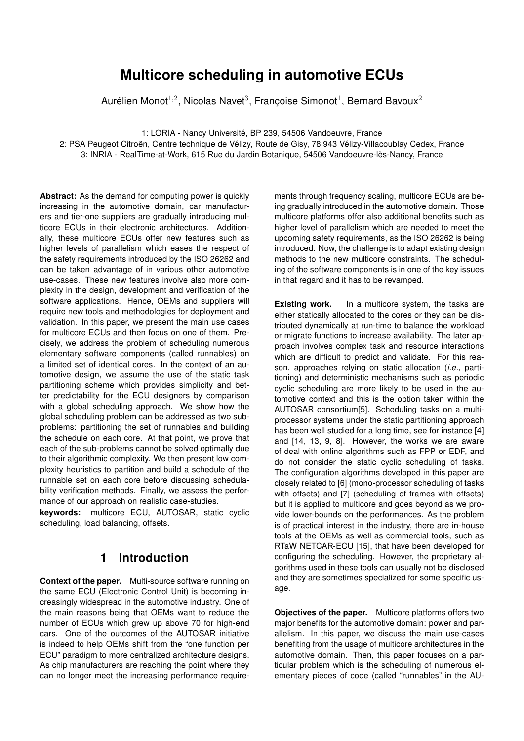# Multicore scheduling in automotive ECUs

Aurélien Monot<sup>1,2</sup>, Nicolas Navet<sup>3</sup>, Françoise Simonot<sup>1</sup>, Bernard Bavoux<sup>2</sup>

1: LORIA - Nancy Université, BP 239, 54506 Vandoeuvre, France

2: PSA Peugeot Citroën, Centre technique de Vélizy, Route de Gisy, 78 943 Vélizy-Villacoublay Cedex, France 3: INRIA - RealTime-at-Work, 615 Rue du Jardin Botanique, 54506 Vandoeuvre-lès-Nancy, France

Abstract: As the demand for computing power is quickly increasing in the automotive domain, car manufacturers and tier-one suppliers are gradually introducing multicore ECUs in their electronic architectures. Additionally, these multicore ECUs offer new features such as higher levels of parallelism which eases the respect of the safety requirements introduced by the ISO 26262 and can be taken advantage of in various other automotive use-cases. These new features involve also more complexity in the design, development and verification of the software applications. Hence, OEMs and suppliers will require new tools and methodologies for deployment and validation. In this paper, we present the main use cases for multicore ECUs and then focus on one of them. Precisely, we address the problem of scheduling numerous elementary software components (called runnables) on a limited set of identical cores. In the context of an automotive design, we assume the use of the static task partitioning scheme which provides simplicity and better predictability for the ECU designers by comparison with a global scheduling approach. We show how the global scheduling problem can be addressed as two subproblems: partitioning the set of runnables and building the schedule on each core. At that point, we prove that each of the sub-problems cannot be solved optimally due to their algorithmic complexity. We then present low complexity heuristics to partition and build a schedule of the runnable set on each core before discussing schedulability verification methods. Finally, we assess the performance of our approach on realistic case-studies.

keywords: multicore ECU, AUTOSAR, static cyclic scheduling, load balancing, offsets.

## 1 Introduction

Context of the paper. Multi-source software running on the same ECU (Electronic Control Unit) is becoming increasingly widespread in the automotive industry. One of the main reasons being that OEMs want to reduce the number of ECUs which grew up above 70 for high-end cars. One of the outcomes of the AUTOSAR initiative is indeed to help OEMs shift from the "one function per ECU" paradigm to more centralized architecture designs. As chip manufacturers are reaching the point where they can no longer meet the increasing performance requirements through frequency scaling, multicore ECUs are being gradually introduced in the automotive domain. Those multicore platforms offer also additional benefits such as higher level of parallelism which are needed to meet the upcoming safety requirements, as the ISO 26262 is being introduced. Now, the challenge is to adapt existing design methods to the new multicore constraints. The scheduling of the software components is in one of the key issues in that regard and it has to be revamped.

**Existing work.** In a multicore system, the tasks are either statically allocated to the cores or they can be distributed dynamically at run-time to balance the workload or migrate functions to increase availability. The later approach involves complex task and resource interactions which are difficult to predict and validate. For this reason, approaches relying on static allocation (*i.e.*, partitioning) and deterministic mechanisms such as periodic cyclic scheduling are more likely to be used in the automotive context and this is the option taken within the AUTOSAR consortium[5]. Scheduling tasks on a multiprocessor systems under the static partitioning approach has been well studied for a long time, see for instance [4] and [14, 13, 9, 8]. However, the works we are aware of deal with online algorithms such as FPP or EDF, and do not consider the static cyclic scheduling of tasks. The configuration algorithms developed in this paper are closely related to [6] (mono-processor scheduling of tasks with offsets) and [7] (scheduling of frames with offsets) but it is applied to multicore and goes beyond as we provide lower-bounds on the performances. As the problem is of practical interest in the industry, there are in-house tools at the OEMs as well as commercial tools, such as RTaW NETCAR-ECU [15], that have been developed for configuring the scheduling. However, the proprietary algorithms used in these tools can usually not be disclosed and they are sometimes specialized for some specific usage.

Objectives of the paper. Multicore platforms offers two major benefits for the automotive domain: power and parallelism. In this paper, we discuss the main use-cases benefiting from the usage of multicore architectures in the automotive domain. Then, this paper focuses on a particular problem which is the scheduling of numerous elementary pieces of code (called "runnables" in the AU-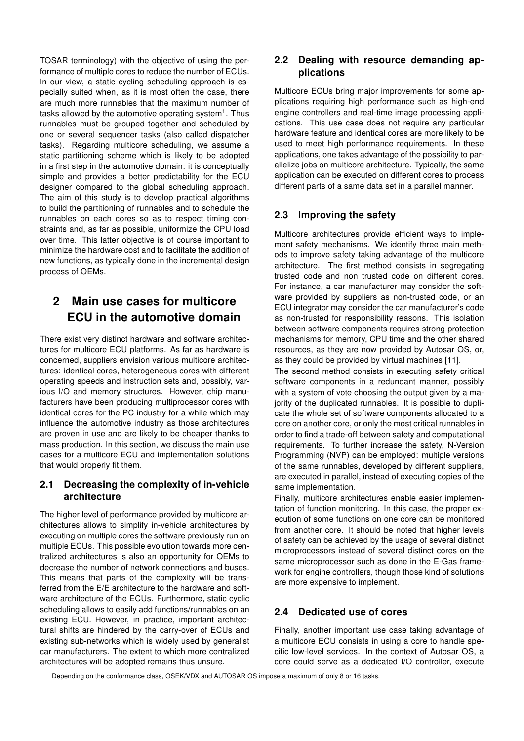TOSAR terminology) with the objective of using the performance of multiple cores to reduce the number of ECUs. In our view, a static cycling scheduling approach is especially suited when, as it is most often the case, there are much more runnables that the maximum number of tasks allowed by the automotive operating system $^1.$  Thus runnables must be grouped together and scheduled by one or several sequencer tasks (also called dispatcher tasks). Regarding multicore scheduling, we assume a static partitioning scheme which is likely to be adopted in a first step in the automotive domain: it is conceptually simple and provides a better predictability for the ECU designer compared to the global scheduling approach. The aim of this study is to develop practical algorithms to build the partitioning of runnables and to schedule the runnables on each cores so as to respect timing constraints and, as far as possible, uniformize the CPU load over time. This latter objective is of course important to minimize the hardware cost and to facilitate the addition of new functions, as typically done in the incremental design process of OEMs.

## 2 Main use cases for multicore ECU in the automotive domain

There exist very distinct hardware and software architectures for multicore ECU platforms. As far as hardware is concerned, suppliers envision various multicore architectures: identical cores, heterogeneous cores with different operating speeds and instruction sets and, possibly, various I/O and memory structures. However, chip manufacturers have been producing multiprocessor cores with identical cores for the PC industry for a while which may influence the automotive industry as those architectures are proven in use and are likely to be cheaper thanks to mass production. In this section, we discuss the main use cases for a multicore ECU and implementation solutions that would properly fit them.

## 2.1 Decreasing the complexity of in-vehicle architecture

The higher level of performance provided by multicore architectures allows to simplify in-vehicle architectures by executing on multiple cores the software previously run on multiple ECUs. This possible evolution towards more centralized architectures is also an opportunity for OEMs to decrease the number of network connections and buses. This means that parts of the complexity will be transferred from the E/E architecture to the hardware and software architecture of the ECUs. Furthermore, static cyclic scheduling allows to easily add functions/runnables on an existing ECU. However, in practice, important architectural shifts are hindered by the carry-over of ECUs and existing sub-networks which is widely used by generalist car manufacturers. The extent to which more centralized architectures will be adopted remains thus unsure.

## 2.2 Dealing with resource demanding applications

Multicore ECUs bring major improvements for some applications requiring high performance such as high-end engine controllers and real-time image processing applications. This use case does not require any particular hardware feature and identical cores are more likely to be used to meet high performance requirements. In these applications, one takes advantage of the possibility to parallelize jobs on multicore architecture. Typically, the same application can be executed on different cores to process different parts of a same data set in a parallel manner.

## 2.3 Improving the safety

Multicore architectures provide efficient ways to implement safety mechanisms. We identify three main methods to improve safety taking advantage of the multicore architecture. The first method consists in segregating trusted code and non trusted code on different cores. For instance, a car manufacturer may consider the software provided by suppliers as non-trusted code, or an ECU integrator may consider the car manufacturer's code as non-trusted for responsibility reasons. This isolation between software components requires strong protection mechanisms for memory, CPU time and the other shared resources, as they are now provided by Autosar OS, or, as they could be provided by virtual machines [11].

The second method consists in executing safety critical software components in a redundant manner, possibly with a system of vote choosing the output given by a majority of the duplicated runnables. It is possible to duplicate the whole set of software components allocated to a core on another core, or only the most critical runnables in order to find a trade-off between safety and computational requirements. To further increase the safety, N-Version Programming (NVP) can be employed: multiple versions of the same runnables, developed by different suppliers, are executed in parallel, instead of executing copies of the same implementation.

Finally, multicore architectures enable easier implementation of function monitoring. In this case, the proper execution of some functions on one core can be monitored from another core. It should be noted that higher levels of safety can be achieved by the usage of several distinct microprocessors instead of several distinct cores on the same microprocessor such as done in the E-Gas framework for engine controllers, though those kind of solutions are more expensive to implement.

### 2.4 Dedicated use of cores

Finally, another important use case taking advantage of a multicore ECU consists in using a core to handle specific low-level services. In the context of Autosar OS, a core could serve as a dedicated I/O controller, execute

<sup>&</sup>lt;sup>1</sup>Depending on the conformance class, OSEK/VDX and AUTOSAR OS impose a maximum of only 8 or 16 tasks.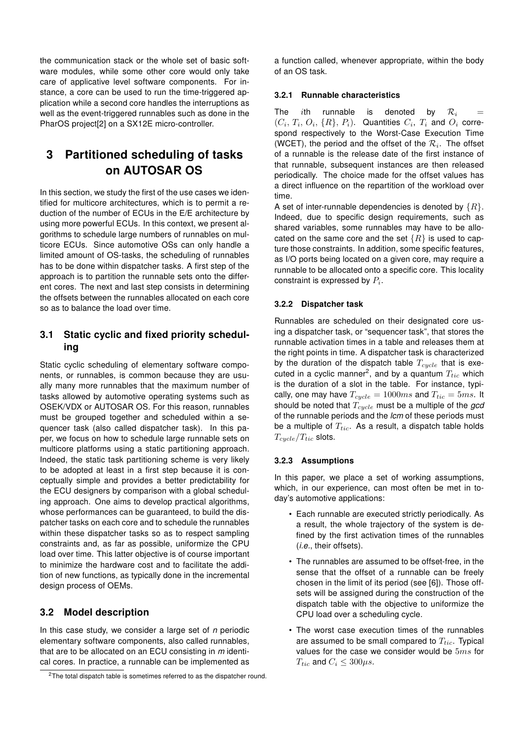the communication stack or the whole set of basic software modules, while some other core would only take care of applicative level software components. For instance, a core can be used to run the time-triggered application while a second core handles the interruptions as well as the event-triggered runnables such as done in the PharOS project[2] on a SX12E micro-controller.

# 3 Partitioned scheduling of tasks on AUTOSAR OS

In this section, we study the first of the use cases we identified for multicore architectures, which is to permit a reduction of the number of ECUs in the E/E architecture by using more powerful ECUs. In this context, we present algorithms to schedule large numbers of runnables on multicore ECUs. Since automotive OSs can only handle a limited amount of OS-tasks, the scheduling of runnables has to be done within dispatcher tasks. A first step of the approach is to partition the runnable sets onto the different cores. The next and last step consists in determining the offsets between the runnables allocated on each core so as to balance the load over time.

## 3.1 Static cyclic and fixed priority scheduling

Static cyclic scheduling of elementary software components, or runnables, is common because they are usually many more runnables that the maximum number of tasks allowed by automotive operating systems such as OSEK/VDX or AUTOSAR OS. For this reason, runnables must be grouped together and scheduled within a sequencer task (also called dispatcher task). In this paper, we focus on how to schedule large runnable sets on multicore platforms using a static partitioning approach. Indeed, the static task partitioning scheme is very likely to be adopted at least in a first step because it is conceptually simple and provides a better predictability for the ECU designers by comparison with a global scheduling approach. One aims to develop practical algorithms, whose performances can be guaranteed, to build the dispatcher tasks on each core and to schedule the runnables within these dispatcher tasks so as to respect sampling constraints and, as far as possible, uniformize the CPU load over time. This latter objective is of course important to minimize the hardware cost and to facilitate the addition of new functions, as typically done in the incremental design process of OEMs.

## 3.2 Model description

In this case study, we consider a large set of *n* periodic elementary software components, also called runnables, that are to be allocated on an ECU consisting in *m* identical cores. In practice, a runnable can be implemented as a function called, whenever appropriate, within the body of an OS task.

#### 3.2.1 Runnable characteristics

The *i*th runnable is denoted by  $\mathcal{R}_i$  $(C_i, T_i, O_i, \{R\}, P_i)$ . Quantities  $C_i, T_i$  and  $O_i$  correspond respectively to the Worst-Case Execution Time (WCET), the period and the offset of the  $\mathcal{R}_i$ . The offset of a runnable is the release date of the first instance of that runnable, subsequent instances are then released periodically. The choice made for the offset values has a direct influence on the repartition of the workload over time.

A set of inter-runnable dependencies is denoted by *{R}*. Indeed, due to specific design requirements, such as shared variables, some runnables may have to be allocated on the same core and the set  ${R}$  is used to capture those constraints. In addition, some specific features, as I/O ports being located on a given core, may require a runnable to be allocated onto a specific core. This locality constraint is expressed by *P<sup>i</sup>* .

#### 3.2.2 Dispatcher task

Runnables are scheduled on their designated core using a dispatcher task, or "sequencer task", that stores the runnable activation times in a table and releases them at the right points in time. A dispatcher task is characterized by the duration of the dispatch table *Tcycle* that is executed in a cyclic manner<sup>2</sup>, and by a quantum  $T_{tic}$  which is the duration of a slot in the table. For instance, typically, one may have  $T_{cycle} = 1000ms$  and  $T_{tic} = 5ms$ . It should be noted that *Tcycle* must be a multiple of the *gcd* of the runnable periods and the *lcm* of these periods must be a multiple of *Ttic*. As a result, a dispatch table holds *Tcycle/Ttic* slots.

#### 3.2.3 Assumptions

In this paper, we place a set of working assumptions, which, in our experience, can most often be met in today's automotive applications:

- Each runnable are executed strictly periodically. As a result, the whole trajectory of the system is defined by the first activation times of the runnables (*i.e.*, their offsets).
- The runnables are assumed to be offset-free, in the sense that the offset of a runnable can be freely chosen in the limit of its period (see [6]). Those offsets will be assigned during the construction of the dispatch table with the objective to uniformize the CPU load over a scheduling cycle.
- The worst case execution times of the runnables are assumed to be small compared to *Ttic*. Typical values for the case we consider would be 5*ms* for  $T_{tic}$  and  $C_i < 300 \mu s$ .

 $2$ The total dispatch table is sometimes referred to as the dispatcher round.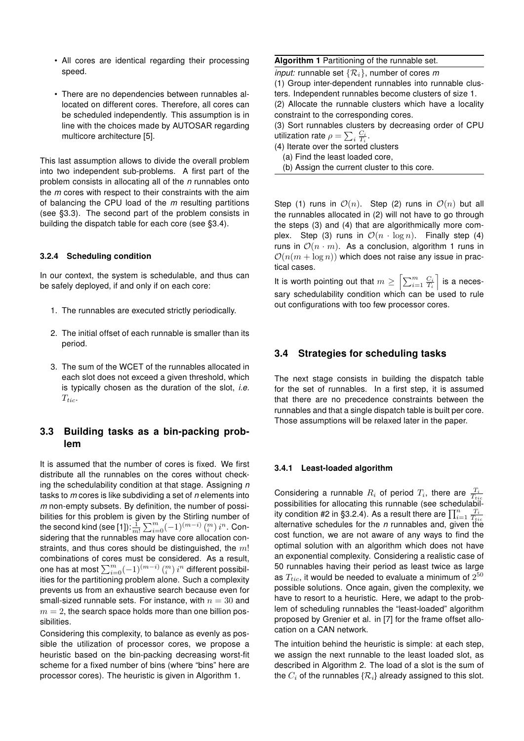- All cores are identical regarding their processing speed.
- There are no dependencies between runnables allocated on different cores. Therefore, all cores can be scheduled independently. This assumption is in line with the choices made by AUTOSAR regarding multicore architecture [5].

This last assumption allows to divide the overall problem into two independent sub-problems. A first part of the problem consists in allocating all of the *n* runnables onto the *m* cores with respect to their constraints with the aim of balancing the CPU load of the *m* resulting partitions (see §3.3). The second part of the problem consists in building the dispatch table for each core (see §3.4).

#### 3.2.4 Scheduling condition

In our context, the system is schedulable, and thus can be safely deployed, if and only if on each core:

- 1. The runnables are executed strictly periodically.
- 2. The initial offset of each runnable is smaller than its period.
- 3. The sum of the WCET of the runnables allocated in each slot does not exceed a given threshold, which is typically chosen as the duration of the slot, *i.e. Ttic*.

### 3.3 Building tasks as a bin-packing problem

It is assumed that the number of cores is fixed. We first distribute all the runnables on the cores without checking the schedulability condition at that stage. Assigning *n* tasks to *m* cores is like subdividing a set of *n* elements into *m* non-empty subsets. By definition, the number of possibilities for this problem is given by the Stirling number of the second kind (see [1]):  $\frac{1}{m!}\sum_{i=0}^{m}(-1)^{(m-i)}\binom{m}{i}\,i^n.$  Considering that the runnables may have core allocation constraints, and thus cores should be distinguished, the *m*! combinations of cores must be considered. As a result, one has at most  $\sum_{i=0}^{m}(-1)^{(m-i)}\binom{m}{i}$   $i^n$  different possibilities for the partitioning problem alone. Such a complexity prevents us from an exhaustive search because even for small-sized runnable sets. For instance, with  $n = 30$  and  $m = 2$ , the search space holds more than one billion possibilities.

Considering this complexity, to balance as evenly as possible the utilization of processor cores, we propose a heuristic based on the bin-packing decreasing worst-fit scheme for a fixed number of bins (where "bins" here are processor cores). The heuristic is given in Algorithm 1.

#### Algorithm 1 Partitioning of the runnable set.

*input:* runnable set  $\{R_i\}$ , number of cores *m* (1) Group inter-dependent runnables into runnable clusters. Independent runnables become clusters of size 1. (2) Allocate the runnable clusters which have a locality constraint to the corresponding cores.

(3) Sort runnables clusters by decreasing order of CPU utilization rate  $\rho = \sum_i \frac{C_i}{T_i}$ .

(4) Iterate over the sorted clusters

- (a) Find the least loaded core,
- (b) Assign the current cluster to this core.

Step (1) runs in  $\mathcal{O}(n)$ . Step (2) runs in  $\mathcal{O}(n)$  but all the runnables allocated in (2) will not have to go through the steps (3) and (4) that are algorithmically more complex. Step (3) runs in  $\mathcal{O}(n \cdot \log n)$ . Finally step (4) runs in  $\mathcal{O}(n \cdot m)$ . As a conclusion, algorithm 1 runs in  $\mathcal{O}(n(m + \log n))$  which does not raise any issue in practical cases.

It is worth pointing out that  $m \geq \left\lceil \sum_{i=1}^m \frac{C_i}{T_i} \right\rceil$ ⌉ is a necessary schedulability condition which can be used to rule out configurations with too few processor cores.

#### 3.4 Strategies for scheduling tasks

The next stage consists in building the dispatch table for the set of runnables. In a first step, it is assumed that there are no precedence constraints between the runnables and that a single dispatch table is built per core. Those assumptions will be relaxed later in the paper.

#### 3.4.1 Least-loaded algorithm

Considering a runnable  $R_i$  of period  $T_i$ , there are  $\frac{T_i}{T_{tio}}$ possibilities for allocating this runnable (see schedulabil- $\frac{1}{2}$  ity condition #2 in §3.2.4). As a result there are  $\prod_{i=1}^{n} \frac{T_i}{T_{tio}}$ alternative schedules for the *n* runnables and, given the cost function, we are not aware of any ways to find the optimal solution with an algorithm which does not have an exponential complexity. Considering a realistic case of 50 runnables having their period as least twice as large as  $T_{tic}$ , it would be needed to evaluate a minimum of  $2^{50}$ possible solutions. Once again, given the complexity, we have to resort to a heuristic. Here, we adapt to the problem of scheduling runnables the "least-loaded" algorithm proposed by Grenier et al. in [7] for the frame offset allocation on a CAN network.

The intuition behind the heuristic is simple: at each step, we assign the next runnable to the least loaded slot, as described in Algorithm 2. The load of a slot is the sum of the  $C_i$  of the runnables  $\{R_i\}$  already assigned to this slot.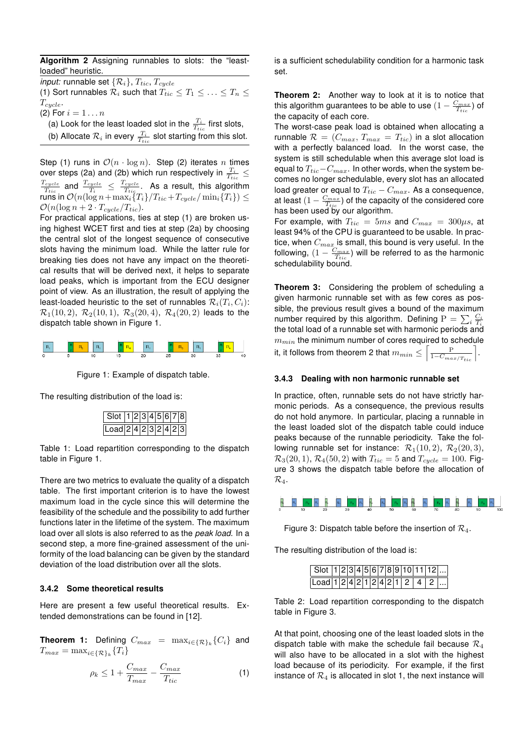Algorithm 2 Assigning runnables to slots: the "leastloaded" heuristic.

*input:* runnable set *{Ri}*, *Ttic*, *Tcycle* (1) Sort runnables  $\mathcal{R}_i$  such that  $T_{tic} \leq T_1 \leq \ldots \leq T_n \leq$ *Tcycle*.

(2) For  $i = 1...n$ 

(a) Look for the least loaded slot in the  $\frac{T_i}{T_{tic}}$  first slots,

(b) Allocate  $\mathcal{R}_i$  in every  $\frac{T_i}{T_{tic}}$  slot starting from this slot.

Step (1) runs in  $\mathcal{O}(n \cdot \log n)$ . Step (2) iterates *n* times over steps (2a) and (2b) which run respectively in  $\frac{T_i}{T_{tic}} \leq$ *Tcycle*  $\frac{T_{cycle}}{T_{tic}}$  and  $\frac{T_{cycle}}{T_i} \leq \frac{T_{cycle}}{T_{tig}}$  $\frac{cyclic}{T_{t_i c}}$ . As a result, this algorithm  $\max_i \{T_i\}/T_{tic} + T_{cycle}/\min_i \{T_i\}) \leq 1$  $\mathcal{O}(n(\log n + 2 \cdot T_{cycle}/T_{tic}).$ 

For practical applications, ties at step (1) are broken using highest WCET first and ties at step (2a) by choosing the central slot of the longest sequence of consecutive slots having the minimum load. While the latter rule for breaking ties does not have any impact on the theoretical results that will be derived next, it helps to separate load peaks, which is important from the ECU designer point of view. As an illustration, the result of applying the least-loaded heuristic to the set of runnables  $\mathcal{R}_i(T_i, C_i)$ :  $\mathcal{R}_1(10,2)$ ,  $\mathcal{R}_2(10,1)$ ,  $\mathcal{R}_3(20,4)$ ,  $\mathcal{R}_4(20,2)$  leads to the dispatch table shown in Figure 1.



Figure 1: Example of dispatch table.

The resulting distribution of the load is:

| $\sqrt{3}$ lot $\sqrt{1 2 3 4 5 6 7 8}$                                                                  |  |  |  |  |
|----------------------------------------------------------------------------------------------------------|--|--|--|--|
| $\lfloor$ Load $\lfloor 2 \rfloor 4 \lfloor 2 \rfloor 3 \lfloor 2 \rfloor 4 \lfloor 2 \rfloor 3 \rfloor$ |  |  |  |  |

Table 1: Load repartition corresponding to the dispatch table in Figure 1.

There are two metrics to evaluate the quality of a dispatch table. The first important criterion is to have the lowest maximum load in the cycle since this will determine the feasibility of the schedule and the possibility to add further functions later in the lifetime of the system. The maximum load over all slots is also referred to as the *peak load*. In a second step, a more fine-grained assessment of the uniformity of the load balancing can be given by the standard deviation of the load distribution over all the slots.

#### 3.4.2 Some theoretical results

Here are present a few useful theoretical results. Extended demonstrations can be found in [12].

 $\textsf{Theorem 1:}$  Defining  $C_{max}$  =  $\max_{i \in \{\mathcal{R}\}_k} \{C_i\}$  and  $T_{max} = \max_{i \in \{R\}_k} \{T_i\}$ 

$$
\rho_k \le 1 + \frac{C_{max}}{T_{max}} - \frac{C_{max}}{T_{tic}} \tag{1}
$$

is a sufficient schedulability condition for a harmonic task set.

Theorem 2: Another way to look at it is to notice that this algorithm guarantees to be able to use  $(1 - \frac{C_{max}}{T_{tic}})$  of the capacity of each core.

The worst-case peak load is obtained when allocating a runnable  $\mathcal{R} = (C_{max}, T_{max} = T_{tic})$  in a slot allocation with a perfectly balanced load. In the worst case, the system is still schedulable when this average slot load is equal to *Ttic−Cmax*. In other words, when the system becomes no longer schedulable, every slot has an allocated load greater or equal to *Ttic − Cmax*. As a consequence, at least (1 *− Cmax Ttic* ) of the capacity of the considered core has been used by our algorithm.

For example, with  $T_{tic} = 5ms$  and  $C_{max} = 300 \mu s$ , at least 94% of the CPU is guaranteed to be usable. In practice, when *Cmax* is small, this bound is very useful. In the following,  $(1 - \frac{C_{max}}{T_{tic}})$  will be referred to as the harmonic schedulability bound.

Theorem 3: Considering the problem of scheduling a given harmonic runnable set with as few cores as possible, the previous result gives a bound of the maximum number required by this algorithm. Defining  $P = \sum_i \frac{C_i}{T_i}$ the total load of a runnable set with harmonic periods and *mmin* the minimum number of cores required to schedule it, it follows from theorem 2 that  $m_{min} \leq \left\lceil \frac{P}{1 - C_{max}/T_{tic}} \right\rceil$ .

#### 3.4.3 Dealing with non harmonic runnable set

In practice, often, runnable sets do not have strictly harmonic periods. As a consequence, the previous results do not hold anymore. In particular, placing a runnable in the least loaded slot of the dispatch table could induce peaks because of the runnable periodicity. Take the following runnable set for instance:  $\mathcal{R}_1(10, 2)$ ,  $\mathcal{R}_2(20, 3)$ ,  $R_3(20, 1), R_4(50, 2)$  with  $T_{tic} = 5$  and  $T_{cycle} = 100$ . Figure 3 shows the dispatch table before the allocation of *R*4.



Figure 3: Dispatch table before the insertion of  $\mathcal{R}_4$ .

The resulting distribution of the load is:

| Slot $1 2 3 4 5 6 7 8 9 10 11 12 $   |  |  |  |  |  |  |  |
|--------------------------------------|--|--|--|--|--|--|--|
| $\sf Load 1 2 4 2 1 2 4 2 1 2 4 2 ]$ |  |  |  |  |  |  |  |

Table 2: Load repartition corresponding to the dispatch table in Figure 3.

At that point, choosing one of the least loaded slots in the dispatch table with make the schedule fail because *R*<sup>4</sup> will also have to be allocated in a slot with the highest load because of its periodicity. For example, if the first instance of  $\mathcal{R}_4$  is allocated in slot 1, the next instance will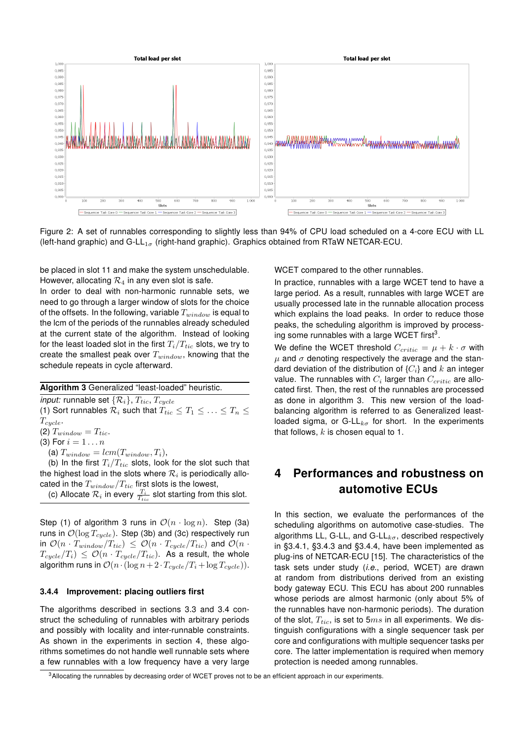

Figure 2: A set of runnables corresponding to slightly less than 94% of CPU load scheduled on a 4-core ECU with LL (left-hand graphic) and G-LL1*<sup>σ</sup>* (right-hand graphic). Graphics obtained from RTaW NETCAR-ECU.

be placed in slot 11 and make the system unschedulable. However, allocating  $\mathcal{R}_4$  in any even slot is safe.

In order to deal with non-harmonic runnable sets, we need to go through a larger window of slots for the choice of the offsets. In the following, variable *Twindow* is equal to the lcm of the periods of the runnables already scheduled at the current state of the algorithm. Instead of looking for the least loaded slot in the first  $T_i/T_{tic}$  slots, we try to create the smallest peak over *Twindow*, knowing that the schedule repeats in cycle afterward.

Algorithm 3 Generalized "least-loaded" heuristic *input:* runnable set *{Ri}*, *Ttic*, *Tcycle* (1) Sort runnables  $\mathcal{R}_i$  such that  $T_{tic} \leq T_1 \leq \ldots \leq T_n \leq$ *Tcycle*. (2) *Twindow* = *Ttic*. (3) For  $i = 1...n$ (a)  $T_{window} = lcm(T_{window}, T_i)$ , (b) In the first  $T_i/T_{tic}$  slots, look for the slot such that

the highest load in the slots where  $\mathcal{R}_i$  is periodically allocated in the  $T_{window}/T_{tic}$  first slots is the lowest,

(c) Allocate  $\mathcal{R}_i$  in every  $\frac{T_i}{T_{tic}}$  slot starting from this slot.

Step (1) of algorithm 3 runs in  $\mathcal{O}(n \cdot \log n)$ . Step (3a) runs in  $\mathcal{O}(\log T_{cycle})$ . Step (3b) and (3c) respectively run in  $\mathcal{O}(n \cdot T_{window}/T_{tic}) \leq \mathcal{O}(n \cdot T_{cycle}/T_{tic})$  and  $\mathcal{O}(n \cdot$  $T_{cycle}/T_i$ )  $\leq \mathcal{O}(n \cdot T_{cycle}/T_{tic})$ . As a result, the whole algorithm runs in  $\mathcal{O}(n \cdot (\log n + 2 \cdot T_{cycle}/T_i + \log T_{cycle}))$ .

#### 3.4.4 Improvement: placing outliers first

The algorithms described in sections 3.3 and 3.4 construct the scheduling of runnables with arbitrary periods and possibly with locality and inter-runnable constraints. As shown in the experiments in section 4, these algorithms sometimes do not handle well runnable sets where a few runnables with a low frequency have a very large WCET compared to the other runnables.

In practice, runnables with a large WCET tend to have a large period. As a result, runnables with large WCET are usually processed late in the runnable allocation process which explains the load peaks. In order to reduce those peaks, the scheduling algorithm is improved by processing some runnables with a large WCET first<sup>3</sup>.

We define the WCET threshold  $C_{critic} = \mu + k \cdot \sigma$  with  $\mu$  and  $\sigma$  denoting respectively the average and the standard deviation of the distribution of {*Ci*} and *k* an integer value. The runnables with  $C_i$  larger than  $C_{critic}$  are allocated first. Then, the rest of the runnables are processed as done in algorithm 3. This new version of the loadbalancing algorithm is referred to as Generalized leastloaded sigma, or  $G-LL_{k\sigma}$  for short. In the experiments that follows, *k* is chosen equal to 1.

## 4 Performances and robustness on automotive ECUs

In this section, we evaluate the performances of the scheduling algorithms on automotive case-studies. The algorithms LL, G-LL, and G-LL*kσ*, described respectively in §3.4.1, §3.4.3 and §3.4.4, have been implemented as plug-ins of NETCAR-ECU [15]. The characteristics of the task sets under study (*i.e.*, period, WCET) are drawn at random from distributions derived from an existing body gateway ECU. This ECU has about 200 runnables whose periods are almost harmonic (only about 5% of the runnables have non-harmonic periods). The duration of the slot, *Ttic*, is set to 5*ms* in all experiments. We distinguish configurations with a single sequencer task per core and configurations with multiple sequencer tasks per core. The latter implementation is required when memory protection is needed among runnables.

<sup>3</sup>Allocating the runnables by decreasing order of WCET proves not to be an efficient approach in our experiments.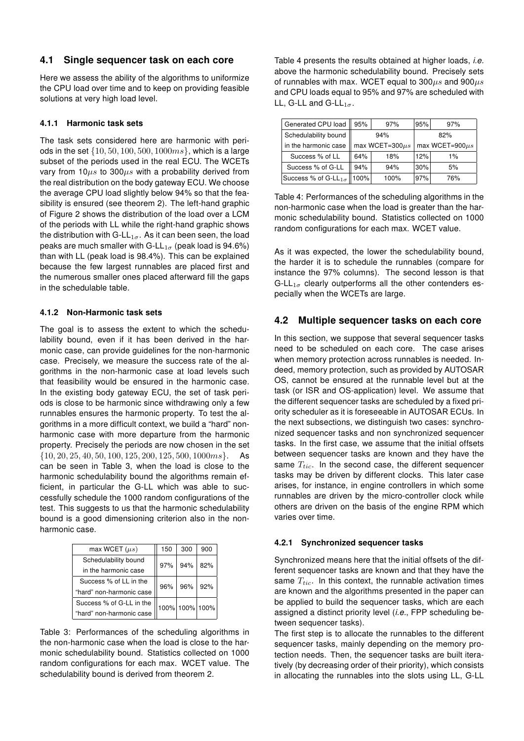### 4.1 Single sequencer task on each core

Here we assess the ability of the algorithms to uniformize the CPU load over time and to keep on providing feasible solutions at very high load level.

### 4.1.1 Harmonic task sets

The task sets considered here are harmonic with periods in the set *{*10*,* 50*,* 100*,* 500*,* 1000*ms}*, which is a large subset of the periods used in the real ECU. The WCETs vary from 10*µs* to 300*µs* with a probability derived from the real distribution on the body gateway ECU. We choose the average CPU load slightly below 94% so that the feasibility is ensured (see theorem 2). The left-hand graphic of Figure 2 shows the distribution of the load over a LCM of the periods with LL while the right-hand graphic shows the distribution with  $G-LL_{1\sigma}$ . As it can been seen, the load peaks are much smaller with  $G-LL_{1\sigma}$  (peak load is 94.6%) than with LL (peak load is 98.4%). This can be explained because the few largest runnables are placed first and the numerous smaller ones placed afterward fill the gaps in the schedulable table.

#### 4.1.2 Non-Harmonic task sets

The goal is to assess the extent to which the schedulability bound, even if it has been derived in the harmonic case, can provide guidelines for the non-harmonic case. Precisely, we measure the success rate of the algorithms in the non-harmonic case at load levels such that feasibility would be ensured in the harmonic case. In the existing body gateway ECU, the set of task periods is close to be harmonic since withdrawing only a few runnables ensures the harmonic property. To test the algorithms in a more difficult context, we build a "hard" nonharmonic case with more departure from the harmonic property. Precisely the periods are now chosen in the set *{*10*,* 20*,* 25*,* 40*,* 50*,* 100*,* 125*,* 200*,* 125*,* 500*,* 1000*ms}*. As can be seen in Table 3, when the load is close to the harmonic schedulability bound the algorithms remain efficient, in particular the G-LL which was able to successfully schedule the 1000 random configurations of the test. This suggests to us that the harmonic schedulability bound is a good dimensioning criterion also in the nonharmonic case.

| max WCET $(\mu s)$       | 150 | 300 | 900            |  |
|--------------------------|-----|-----|----------------|--|
| Schedulability bound     | 97% | 94% | 82%            |  |
| in the harmonic case     |     |     |                |  |
| Success % of LL in the   | 96% | 96% | 92%            |  |
| "hard" non-harmonic case |     |     |                |  |
| Success % of G-LL in the |     |     | 100% 100% 100% |  |
| "hard" non-harmonic case |     |     |                |  |

Table 3: Performances of the scheduling algorithms in the non-harmonic case when the load is close to the harmonic schedulability bound. Statistics collected on 1000 random configurations for each max. WCET value. The schedulability bound is derived from theorem 2.

Table 4 presents the results obtained at higher loads, *i.e.* above the harmonic schedulability bound. Precisely sets of runnables with max. WCET equal to 300*µs* and 900*µs* and CPU loads equal to 95% and 97% are scheduled with LL, G-LL and G-LL<sub>1*σ*</sub>.

| Generated CPU load                    | 95% | 97%                  | 95%<br>97%           |       |  |
|---------------------------------------|-----|----------------------|----------------------|-------|--|
| Schedulability bound                  |     | 94%                  | 82%                  |       |  |
| in the harmonic case                  |     | max WCET=300 $\mu s$ | max WCET=900 $\mu s$ |       |  |
| Success % of LL                       | 64% | 18%                  | 12%                  | $1\%$ |  |
| Success % of G-LL                     | 94% | 94%                  | 30%                  | 5%    |  |
| Success % of G-LL $_{1\sigma}$   100% |     | 100%                 | 97%                  | 76%   |  |

Table 4: Performances of the scheduling algorithms in the non-harmonic case when the load is greater than the harmonic schedulability bound. Statistics collected on 1000 random configurations for each max. WCET value.

As it was expected, the lower the schedulability bound, the harder it is to schedule the runnables (compare for instance the 97% columns). The second lesson is that G-LL1*<sup>σ</sup>* clearly outperforms all the other contenders especially when the WCETs are large.

## 4.2 Multiple sequencer tasks on each core

In this section, we suppose that several sequencer tasks need to be scheduled on each core. The case arises when memory protection across runnables is needed. Indeed, memory protection, such as provided by AUTOSAR OS, cannot be ensured at the runnable level but at the task (or ISR and OS-application) level. We assume that the different sequencer tasks are scheduled by a fixed priority scheduler as it is foreseeable in AUTOSAR ECUs. In the next subsections, we distinguish two cases: synchronized sequencer tasks and non synchronized sequencer tasks. In the first case, we assume that the initial offsets between sequencer tasks are known and they have the same *Ttic*. In the second case, the different sequencer tasks may be driven by different clocks. This later case arises, for instance, in engine controllers in which some runnables are driven by the micro-controller clock while others are driven on the basis of the engine RPM which varies over time.

#### 4.2.1 Synchronized sequencer tasks

Synchronized means here that the initial offsets of the different sequencer tasks are known and that they have the same *Ttic*. In this context, the runnable activation times are known and the algorithms presented in the paper can be applied to build the sequencer tasks, which are each assigned a distinct priority level (*i.e.*, FPP scheduling between sequencer tasks).

The first step is to allocate the runnables to the different sequencer tasks, mainly depending on the memory protection needs. Then, the sequencer tasks are built iteratively (by decreasing order of their priority), which consists in allocating the runnables into the slots using LL, G-LL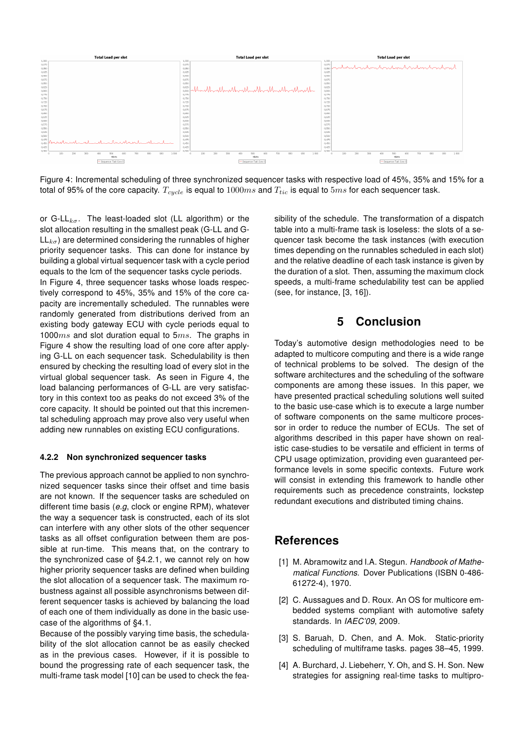

Figure 4: Incremental scheduling of three synchronized sequencer tasks with respective load of 45%, 35% and 15% for a total of 95% of the core capacity. *Tcycle* is equal to 1000*ms* and *Ttic* is equal to 5*ms* for each sequencer task.

or G-LL*kσ*. The least-loaded slot (LL algorithm) or the slot allocation resulting in the smallest peak (G-LL and G-LL*kσ*) are determined considering the runnables of higher priority sequencer tasks. This can done for instance by building a global virtual sequencer task with a cycle period equals to the lcm of the sequencer tasks cycle periods.

In Figure 4, three sequencer tasks whose loads respectively correspond to 45%, 35% and 15% of the core capacity are incrementally scheduled. The runnables were randomly generated from distributions derived from an existing body gateway ECU with cycle periods equal to 1000*ms* and slot duration equal to 5*ms*. The graphs in Figure 4 show the resulting load of one core after applying G-LL on each sequencer task. Schedulability is then ensured by checking the resulting load of every slot in the virtual global sequencer task. As seen in Figure 4, the load balancing performances of G-LL are very satisfactory in this context too as peaks do not exceed 3% of the core capacity. It should be pointed out that this incremental scheduling approach may prove also very useful when adding new runnables on existing ECU configurations.

#### 4.2.2 Non synchronized sequencer tasks

The previous approach cannot be applied to non synchronized sequencer tasks since their offset and time basis are not known. If the sequencer tasks are scheduled on different time basis (*e.g*, clock or engine RPM), whatever the way a sequencer task is constructed, each of its slot can interfere with any other slots of the other sequencer tasks as all offset configuration between them are possible at run-time. This means that, on the contrary to the synchronized case of §4.2.1, we cannot rely on how higher priority sequencer tasks are defined when building the slot allocation of a sequencer task. The maximum robustness against all possible asynchronisms between different sequencer tasks is achieved by balancing the load of each one of them individually as done in the basic usecase of the algorithms of §4.1.

Because of the possibly varying time basis, the schedulability of the slot allocation cannot be as easily checked as in the previous cases. However, if it is possible to bound the progressing rate of each sequencer task, the multi-frame task model [10] can be used to check the feasibility of the schedule. The transformation of a dispatch table into a multi-frame task is loseless: the slots of a sequencer task become the task instances (with execution times depending on the runnables scheduled in each slot) and the relative deadline of each task instance is given by the duration of a slot. Then, assuming the maximum clock speeds, a multi-frame schedulability test can be applied (see, for instance, [3, 16]).

## 5 Conclusion

Today's automotive design methodologies need to be adapted to multicore computing and there is a wide range of technical problems to be solved. The design of the software architectures and the scheduling of the software components are among these issues. In this paper, we have presented practical scheduling solutions well suited to the basic use-case which is to execute a large number of software components on the same multicore processor in order to reduce the number of ECUs. The set of algorithms described in this paper have shown on realistic case-studies to be versatile and efficient in terms of CPU usage optimization, providing even guaranteed performance levels in some specific contexts. Future work will consist in extending this framework to handle other requirements such as precedence constraints, lockstep redundant executions and distributed timing chains.

## References

- [1] M. Abramowitz and I.A. Stegun. *Handbook of Mathematical Functions*. Dover Publications (ISBN 0-486- 61272-4), 1970.
- [2] C. Aussagues and D. Roux. An OS for multicore embedded systems compliant with automotive safety standards. In *IAEC'09*, 2009.
- [3] S. Baruah, D. Chen, and A. Mok. Static-priority scheduling of multiframe tasks. pages 38–45, 1999.
- [4] A. Burchard, J. Liebeherr, Y. Oh, and S. H. Son. New strategies for assigning real-time tasks to multipro-